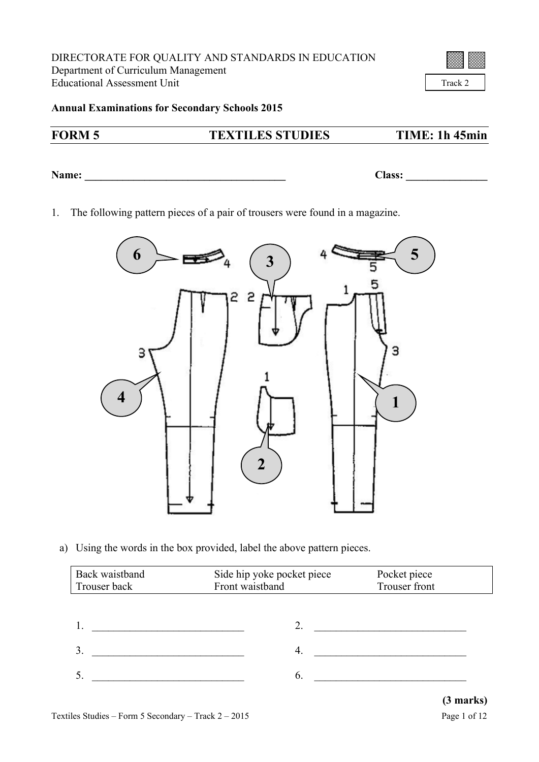Track 2

**Annual Examinations for Secondary Schools 2015**

## **FORM 5 TEXTILES STUDIES TIME: 1h 45min**

**Name: \_\_\_\_\_\_\_\_\_\_\_\_\_\_\_\_\_\_\_\_\_\_\_\_\_\_\_\_\_\_\_\_\_\_\_\_\_ Class: \_\_\_\_\_\_\_\_\_\_\_\_\_\_\_**

1. The following pattern pieces of a pair of trousers were found in a magazine.



a) Using the words in the box provided, label the above pattern pieces.

| Back waistband<br>Trouser back | Side hip yoke pocket piece<br>Front waistband | Pocket piece<br>Trouser front |
|--------------------------------|-----------------------------------------------|-------------------------------|
|                                |                                               |                               |
|                                |                                               |                               |
| $\mathbf{3}$                   |                                               |                               |
|                                | 6.                                            |                               |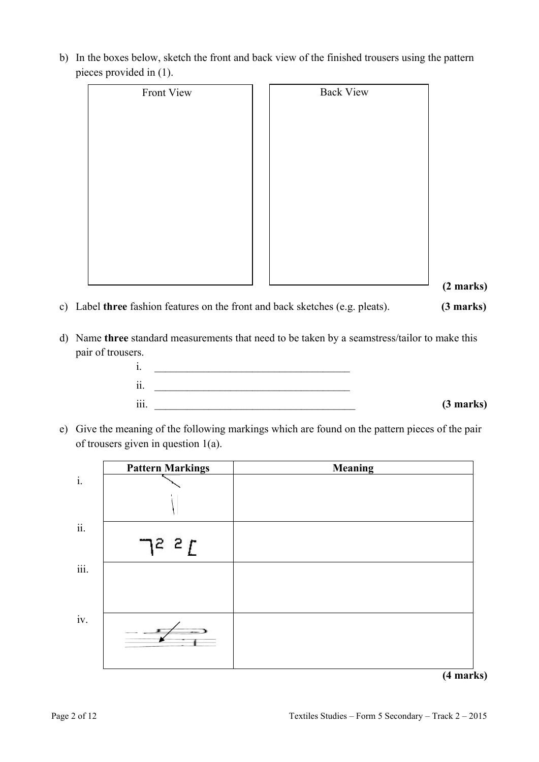| Front View | <b>Back View</b> |
|------------|------------------|
|            |                  |
|            |                  |
|            |                  |
|            |                  |
|            |                  |
|            |                  |
|            |                  |
|            |                  |
|            |                  |
|            |                  |

 **(2 marks)**

- c) Label **three** fashion features on the front and back sketches (e.g. pleats). **(3 marks)**
- d) Name **three** standard measurements that need to be taken by a seamstress/tailor to make this pair of trousers.



e) Give the meaning of the following markings which are found on the pattern pieces of the pair of trousers given in question 1(a).

|                | <b>Pattern Markings</b> | <b>Meaning</b> |
|----------------|-------------------------|----------------|
| $\mathbf{i}$ . |                         |                |
|                |                         |                |
| ii.            |                         |                |
|                | $7^2$ $2^2$ $\Gamma$    |                |
| iii.           |                         |                |
|                |                         |                |
|                |                         |                |
| iv.            |                         |                |
|                |                         | $\sim$ $\sim$  |

**(4 marks)**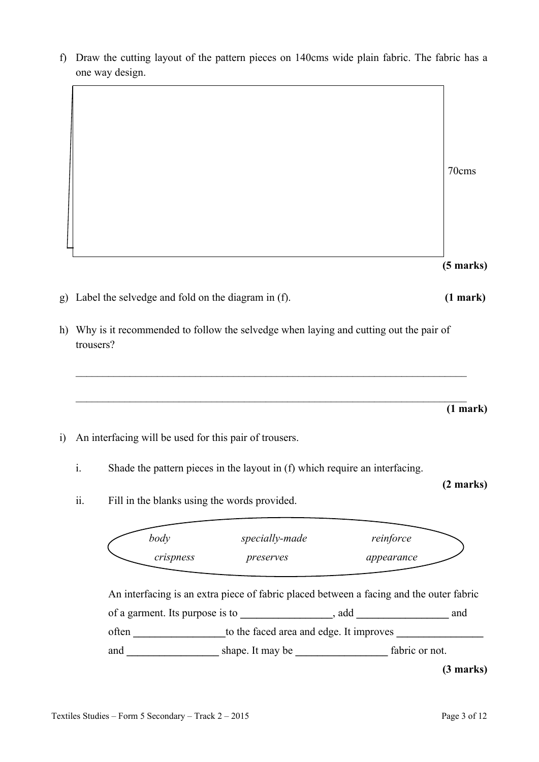f) Draw the cutting layout of the pattern pieces on 140cms wide plain fabric. The fabric has a one way design.

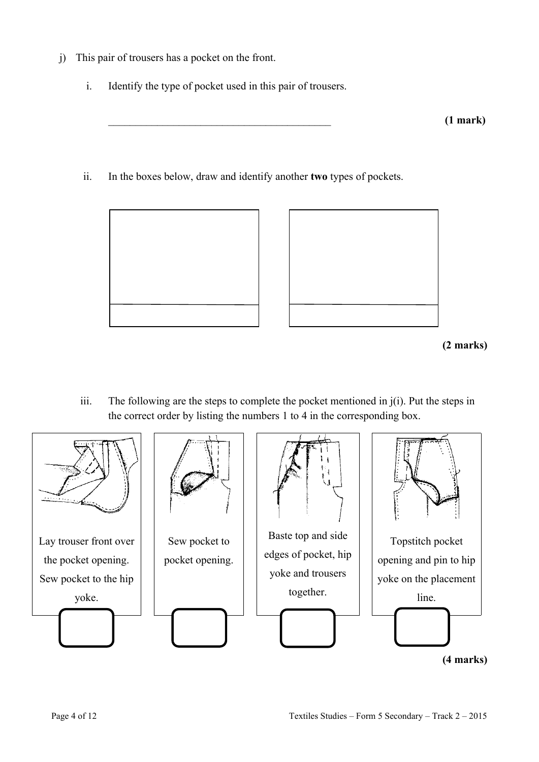- j) This pair of trousers has a pocket on the front.
	- i. Identify the type of pocket used in this pair of trousers.

ii. In the boxes below, draw and identify another **two** types of pockets.





**<sup>(2</sup> marks)**

iii. The following are the steps to complete the pocket mentioned in j(i). Put the steps in the correct order by listing the numbers 1 to 4 in the corresponding box.

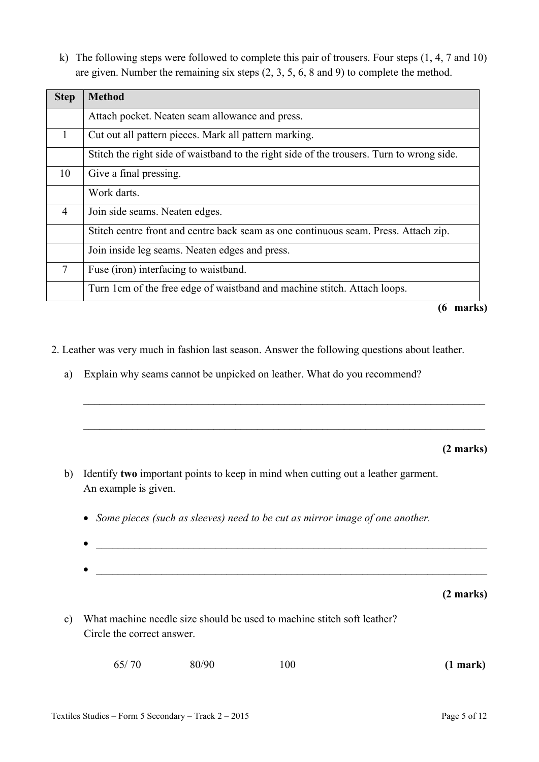k) The following steps were followed to complete this pair of trousers. Four steps (1, 4, 7 and 10) are given. Number the remaining six steps (2, 3, 5, 6, 8 and 9) to complete the method.

| <b>Step</b>    | <b>Method</b>                                                                             |  |  |
|----------------|-------------------------------------------------------------------------------------------|--|--|
|                | Attach pocket. Neaten seam allowance and press.                                           |  |  |
| 1              | Cut out all pattern pieces. Mark all pattern marking.                                     |  |  |
|                | Stitch the right side of waistband to the right side of the trousers. Turn to wrong side. |  |  |
| 10             | Give a final pressing.                                                                    |  |  |
|                | Work darts.                                                                               |  |  |
| $\overline{4}$ | Join side seams. Neaten edges.                                                            |  |  |
|                | Stitch centre front and centre back seam as one continuous seam. Press. Attach zip.       |  |  |
|                | Join inside leg seams. Neaten edges and press.                                            |  |  |
| 7              | Fuse (iron) interfacing to waistband.                                                     |  |  |
|                | Turn 1cm of the free edge of waistband and machine stitch. Attach loops.                  |  |  |

**(6 marks)**

- 2. Leather was very much in fashion last season. Answer the following questions about leather.
	- a) Explain why seams cannot be unpicked on leather. What do you recommend?

**(2 marks)**

- b) Identify **two** important points to keep in mind when cutting out a leather garment. An example is given.
	- *Some pieces (such as sleeves) need to be cut as mirror image of one another.*
	- $\bullet$   $\_\_$ \_\_\_\_\_\_\_\_\_\_\_\_\_\_\_\_\_\_\_\_\_\_\_\_\_\_\_\_\_\_\_\_\_\_\_\_\_\_\_\_\_\_\_\_\_\_\_\_\_\_\_\_\_\_\_\_\_\_\_\_\_\_\_\_\_\_\_\_\_\_\_\_

 $\_$  , and the contribution of the contribution of  $\mathcal{L}_\mathcal{A}$  , and the contribution of  $\mathcal{L}_\mathcal{A}$ 

 $\_$  , and the contribution of the contribution of  $\mathcal{L}_\mathcal{A}$  , and the contribution of  $\mathcal{L}_\mathcal{A}$ 

**(2 marks)**

c) What machine needle size should be used to machine stitch soft leather? Circle the correct answer.

| 65/70 | 80/90 | 100 | (1 mark) |
|-------|-------|-----|----------|
|-------|-------|-----|----------|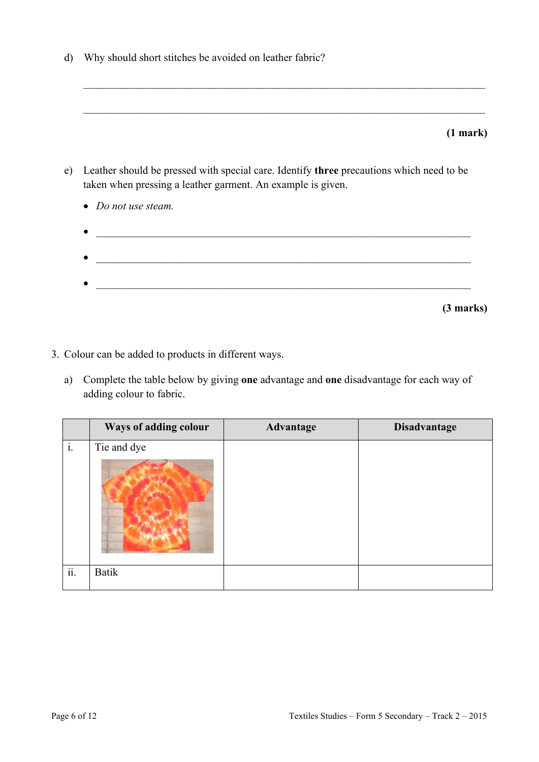d) Why should short stitches be avoided on leather fabric?

|    | (1 mark)                                                                                                                                                |
|----|---------------------------------------------------------------------------------------------------------------------------------------------------------|
| e) | Leather should be pressed with special care. Identify three precautions which need to be<br>taken when pressing a leather garment. An example is given. |
|    | • Do not use steam.                                                                                                                                     |
|    |                                                                                                                                                         |
|    |                                                                                                                                                         |
|    |                                                                                                                                                         |

 $\mathcal{L}_\text{max} = \frac{1}{2} \sum_{i=1}^n \mathcal{L}_\text{max}(\mathbf{z}_i - \mathbf{z}_i)$ 

- 3. Colour can be added to products in different ways.
	- a) Complete the table below by giving **one** advantage and **one** disadvantage for each way of adding colour to fabric.

|                | Ways of adding colour | Advantage | <b>Disadvantage</b> |
|----------------|-----------------------|-----------|---------------------|
| $\mathbf{i}$ . | Tie and dye           |           |                     |
| ii.            | <b>Batik</b>          |           |                     |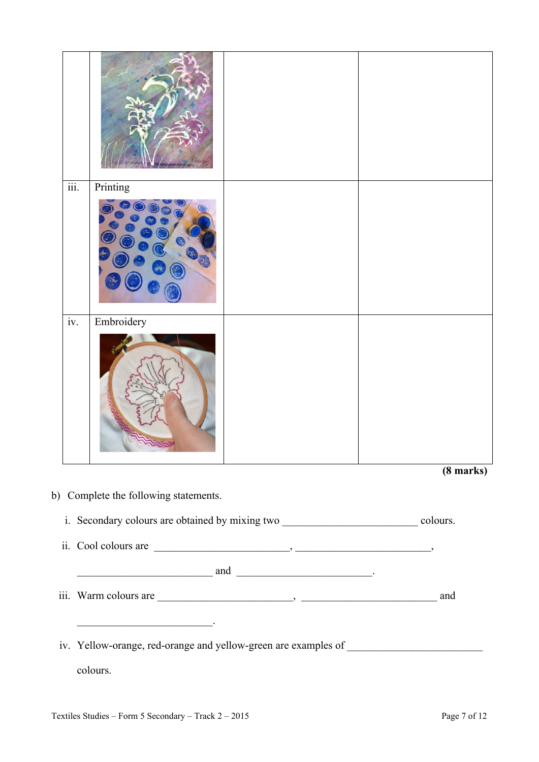| $\overline{\text{iii}}$ . | Printing                                                                                                              |  |                     |
|---------------------------|-----------------------------------------------------------------------------------------------------------------------|--|---------------------|
|                           |                                                                                                                       |  |                     |
| $\overline{iv}$ .         | Embroidery                                                                                                            |  |                     |
|                           |                                                                                                                       |  |                     |
|                           |                                                                                                                       |  | $(8 \text{ marks})$ |
|                           | b) Complete the following statements.                                                                                 |  |                     |
|                           |                                                                                                                       |  |                     |
|                           | i. Secondary colours are obtained by mixing two ________________________________ colours.                             |  |                     |
|                           | ii. Cool colours are $\qquad \qquad$                                                                                  |  |                     |
|                           |                                                                                                                       |  |                     |
|                           | $\frac{1}{2}$ and $\frac{1}{2}$ and $\frac{1}{2}$ .                                                                   |  |                     |
|                           |                                                                                                                       |  |                     |
|                           | <u> 2000 - Jan James James Jan James James Jan James James Jan James James Jan James James Jan Jan James James Ja</u> |  |                     |
|                           | iv. Yellow-orange, red-orange and yellow-green are examples of __________________                                     |  |                     |
|                           |                                                                                                                       |  |                     |
|                           | colours.                                                                                                              |  |                     |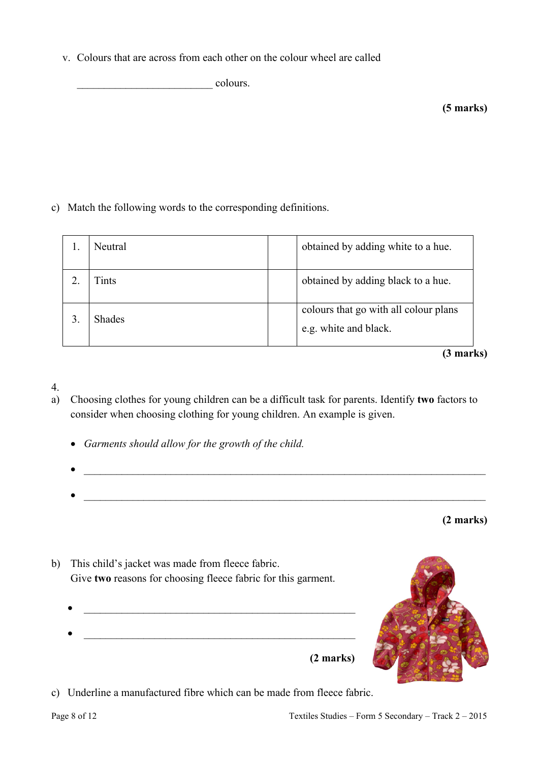v. Colours that are across from each other on the colour wheel are called

 $\overline{\phantom{a}}$  colours.

c) Match the following words to the corresponding definitions.

| Neutral       | obtained by adding white to a hue.                             |
|---------------|----------------------------------------------------------------|
| Fints         | obtained by adding black to a hue.                             |
| <b>Shades</b> | colours that go with all colour plans<br>e.g. white and black. |

**(3 marks)**

### 4.

- a) Choosing clothes for young children can be a difficult task for parents. Identify **two** factors to consider when choosing clothing for young children. An example is given.
	- *Garments should allow for the growth of the child.*
	- $\mathcal{L}_\text{max} = \frac{1}{2} \sum_{i=1}^n \mathcal{L}_\text{max} = \frac{1}{2} \sum_{i=1}^n \mathcal{L}_\text{max} = \frac{1}{2} \sum_{i=1}^n \mathcal{L}_\text{max} = \frac{1}{2} \sum_{i=1}^n \mathcal{L}_\text{max} = \frac{1}{2} \sum_{i=1}^n \mathcal{L}_\text{max} = \frac{1}{2} \sum_{i=1}^n \mathcal{L}_\text{max} = \frac{1}{2} \sum_{i=1}^n \mathcal{L}_\text{max} = \frac{1}{2} \sum_{i=$

**(2 marks)**

- b) This child's jacket was made from fleece fabric. Give **two** reasons for choosing fleece fabric for this garment.
	- $\bullet$   $\frac{1}{2}$   $\frac{1}{2}$   $\frac{1}{2}$   $\frac{1}{2}$   $\frac{1}{2}$   $\frac{1}{2}$   $\frac{1}{2}$   $\frac{1}{2}$   $\frac{1}{2}$   $\frac{1}{2}$   $\frac{1}{2}$   $\frac{1}{2}$   $\frac{1}{2}$   $\frac{1}{2}$   $\frac{1}{2}$   $\frac{1}{2}$   $\frac{1}{2}$   $\frac{1}{2}$   $\frac{1}{2}$   $\frac{1}{2}$   $\frac{1}{2}$   $\frac{1}{$  **(2 marks)**



c) Underline a manufactured fibre which can be made from fleece fabric.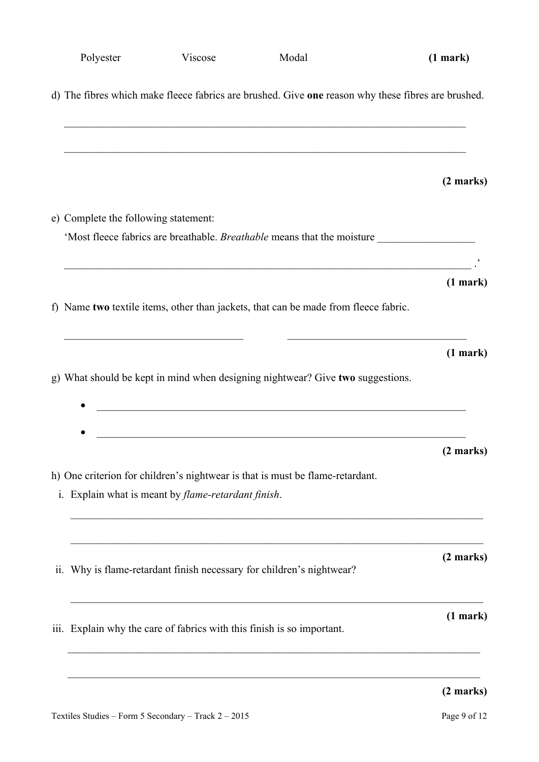| Polyester                            | Viscose                                                     | Modal                                                                               | (1 mark)                                                                                           |
|--------------------------------------|-------------------------------------------------------------|-------------------------------------------------------------------------------------|----------------------------------------------------------------------------------------------------|
|                                      |                                                             |                                                                                     | d) The fibres which make fleece fabrics are brushed. Give one reason why these fibres are brushed. |
|                                      |                                                             |                                                                                     | $(2 \text{ marks})$                                                                                |
| e) Complete the following statement: |                                                             |                                                                                     |                                                                                                    |
|                                      |                                                             |                                                                                     |                                                                                                    |
|                                      |                                                             | <u> 1989 - Johann Stoff, amerikansk politiker (d. 1989)</u>                         |                                                                                                    |
|                                      |                                                             |                                                                                     | (1 mark)                                                                                           |
|                                      |                                                             | f) Name two textile items, other than jackets, that can be made from fleece fabric. |                                                                                                    |
|                                      |                                                             |                                                                                     | (1 mark)                                                                                           |
|                                      |                                                             | g) What should be kept in mind when designing nightwear? Give two suggestions.      |                                                                                                    |
|                                      | <u> 1989 - Johann Stoff, Amerikaansk politiker († 1908)</u> |                                                                                     | $(2 \text{ marks})$                                                                                |
|                                      | i. Explain what is meant by <i>flame-retardant finish</i> . | h) One criterion for children's nightwear is that is must be flame-retardant.       |                                                                                                    |
|                                      |                                                             | ii. Why is flame-retardant finish necessary for children's nightwear?               | $(2 \text{ marks})$                                                                                |
|                                      |                                                             | iii. Explain why the care of fabrics with this finish is so important.              | (1 mark)                                                                                           |
|                                      |                                                             |                                                                                     | $(2 \text{ marks})$                                                                                |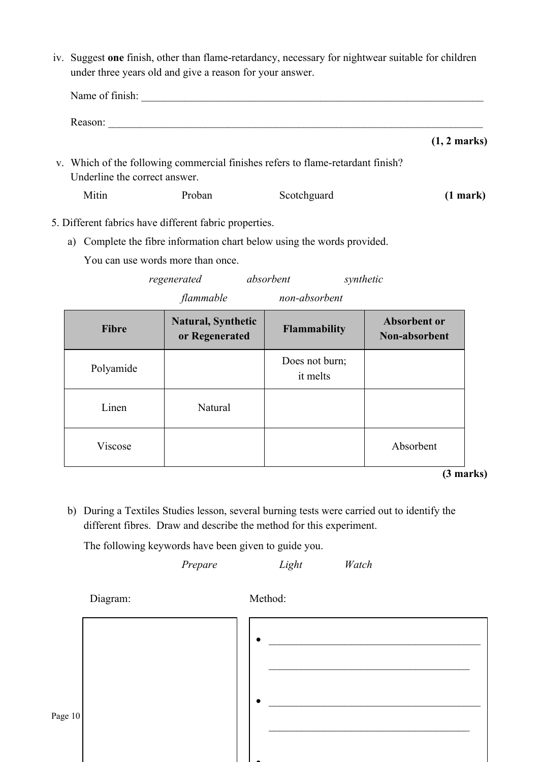iv. Suggest **one** finish, other than flame-retardancy, necessary for nightwear suitable for children under three years old and give a reason for your answer.

| Name of finish:               |                                                        |                                                                                 |                        |
|-------------------------------|--------------------------------------------------------|---------------------------------------------------------------------------------|------------------------|
| Reason:                       |                                                        |                                                                                 |                        |
|                               |                                                        |                                                                                 | $(1, 2 \text{ marks})$ |
| Underline the correct answer. |                                                        | v. Which of the following commercial finishes refers to flame-retardant finish? |                        |
| Mitin                         | Proban                                                 | Scotchguard                                                                     | (1 mark)               |
|                               | Different foliaire hour different foliaire anon qui es |                                                                                 |                        |

- 5. Different fabrics have different fabric properties.
	- a) Complete the fibre information chart below using the words provided.

You can use words more than once.

*regenerated absorbent synthetic flammable non-absorbent*

| <b>Fibre</b> | <b>Natural, Synthetic</b><br>or Regenerated | <b>Flammability</b>        | <b>Absorbent or</b><br>Non-absorbent |
|--------------|---------------------------------------------|----------------------------|--------------------------------------|
| Polyamide    |                                             | Does not burn;<br>it melts |                                      |
| Linen        | Natural                                     |                            |                                      |
| Viscose      |                                             |                            | Absorbent                            |

**(3 marks)**

b) During a Textiles Studies lesson, several burning tests were carried out to identify the different fibres. Draw and describe the method for this experiment.

The following keywords have been given to guide you.

*Prepare Light Watch*

Diagram: Method:

| Page 10 |  |  |
|---------|--|--|
|         |  |  |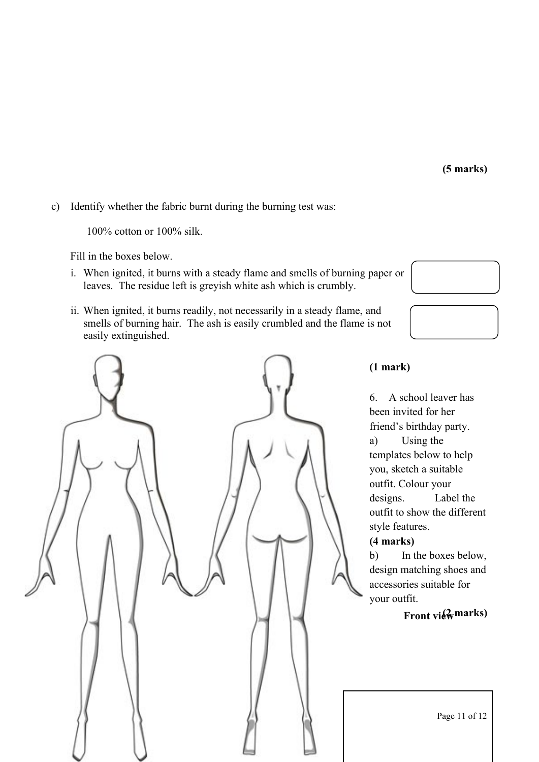**(5 marks)**

c) Identify whether the fabric burnt during the burning test was:

100% cotton or 100% silk.

Fill in the boxes below.

- i. When ignited, it burns with a steady flame and smells of burning paper or leaves. The residue left is greyish white ash which is crumbly.
- ii. When ignited, it burns readily, not necessarily in a steady flame, and smells of burning hair. The ash is easily crumbled and the flame is not easily extinguished.



**(1 mark)**

6. A school leaver has been invited for her friend's birthday party. a) Using the templates below to help you, sketch a suitable outfit. Colour your designs. Label the outfit to show the different style features.

#### **(4 marks)**

b) In the boxes below, design matching shoes and accessories suitable for your outfit.

# $Front$  **view** marks)